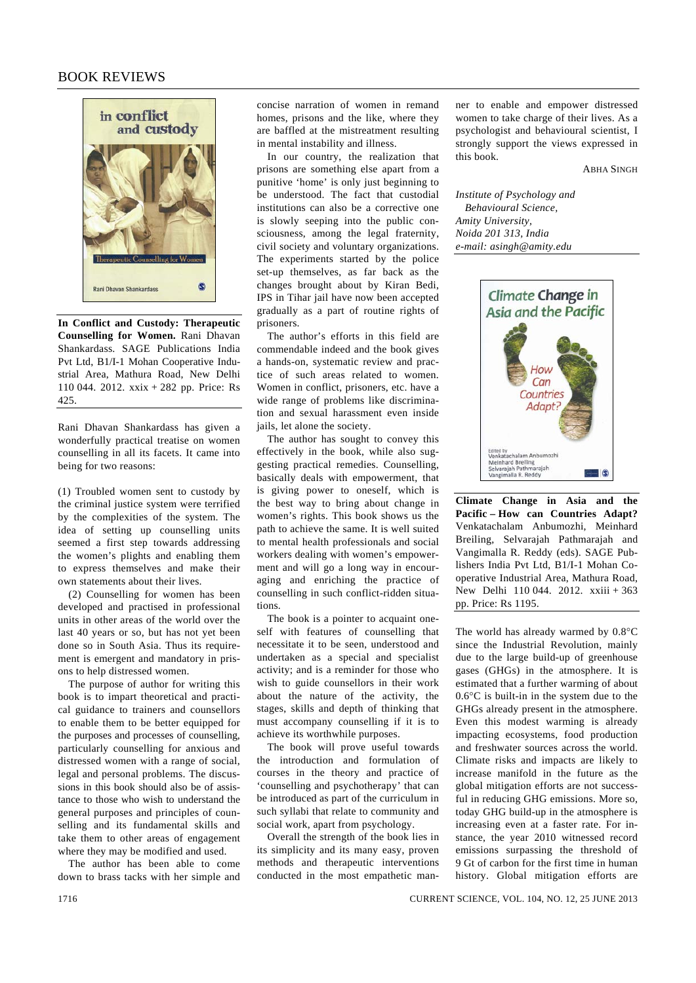## BOOK REVIEWS



**In Conflict and Custody: Therapeutic Counselling for Women.** Rani Dhavan Shankardass. SAGE Publications India Pvt Ltd, B1/I-1 Mohan Cooperative Industrial Area, Mathura Road, New Delhi 110 044. 2012. xxix + 282 pp. Price: Rs 425.

Rani Dhavan Shankardass has given a wonderfully practical treatise on women counselling in all its facets. It came into being for two reasons:

(1) Troubled women sent to custody by the criminal justice system were terrified by the complexities of the system. The idea of setting up counselling units seemed a first step towards addressing the women's plights and enabling them to express themselves and make their own statements about their lives.

 (2) Counselling for women has been developed and practised in professional units in other areas of the world over the last 40 years or so, but has not yet been done so in South Asia. Thus its requirement is emergent and mandatory in prisons to help distressed women.

 The purpose of author for writing this book is to impart theoretical and practical guidance to trainers and counsellors to enable them to be better equipped for the purposes and processes of counselling, particularly counselling for anxious and distressed women with a range of social, legal and personal problems. The discussions in this book should also be of assistance to those who wish to understand the general purposes and principles of counselling and its fundamental skills and take them to other areas of engagement where they may be modified and used.

 The author has been able to come down to brass tacks with her simple and concise narration of women in remand homes, prisons and the like, where they are baffled at the mistreatment resulting in mental instability and illness.

 In our country, the realization that prisons are something else apart from a punitive 'home' is only just beginning to be understood. The fact that custodial institutions can also be a corrective one is slowly seeping into the public consciousness, among the legal fraternity, civil society and voluntary organizations. The experiments started by the police set-up themselves, as far back as the changes brought about by Kiran Bedi, IPS in Tihar jail have now been accepted gradually as a part of routine rights of prisoners.

 The author's efforts in this field are commendable indeed and the book gives a hands-on, systematic review and practice of such areas related to women. Women in conflict, prisoners, etc. have a wide range of problems like discrimination and sexual harassment even inside jails, let alone the society.

 The author has sought to convey this effectively in the book, while also suggesting practical remedies. Counselling, basically deals with empowerment, that is giving power to oneself, which is the best way to bring about change in women's rights. This book shows us the path to achieve the same. It is well suited to mental health professionals and social workers dealing with women's empowerment and will go a long way in encouraging and enriching the practice of counselling in such conflict-ridden situations.

 The book is a pointer to acquaint oneself with features of counselling that necessitate it to be seen, understood and undertaken as a special and specialist activity; and is a reminder for those who wish to guide counsellors in their work about the nature of the activity, the stages, skills and depth of thinking that must accompany counselling if it is to achieve its worthwhile purposes.

 The book will prove useful towards the introduction and formulation of courses in the theory and practice of 'counselling and psychotherapy' that can be introduced as part of the curriculum in such syllabi that relate to community and social work, apart from psychology.

Overall the strength of the book lies in its simplicity and its many easy, proven methods and therapeutic interventions conducted in the most empathetic manner to enable and empower distressed women to take charge of their lives. As a psychologist and behavioural scientist, I strongly support the views expressed in this book.

ABHA SINGH

*Institute of Psychology and Behavioural Science, Amity University, Noida 201 313, India e-mail: asingh@amity.edu* 



**Climate Change in Asia and the Pacific – How can Countries Adapt?**  Venkatachalam Anbumozhi, Meinhard Breiling, Selvarajah Pathmarajah and Vangimalla R. Reddy (eds). SAGE Publishers India Pvt Ltd, B1/I-1 Mohan Cooperative Industrial Area, Mathura Road, New Delhi 110 044. 2012. xxiii + 363 pp. Price: Rs 1195.

The world has already warmed by 0.8°C since the Industrial Revolution, mainly due to the large build-up of greenhouse gases (GHGs) in the atmosphere. It is estimated that a further warming of about 0.6°C is built-in in the system due to the GHGs already present in the atmosphere. Even this modest warming is already impacting ecosystems, food production and freshwater sources across the world. Climate risks and impacts are likely to increase manifold in the future as the global mitigation efforts are not successful in reducing GHG emissions. More so, today GHG build-up in the atmosphere is increasing even at a faster rate. For instance, the year 2010 witnessed record emissions surpassing the threshold of 9 Gt of carbon for the first time in human history. Global mitigation efforts are